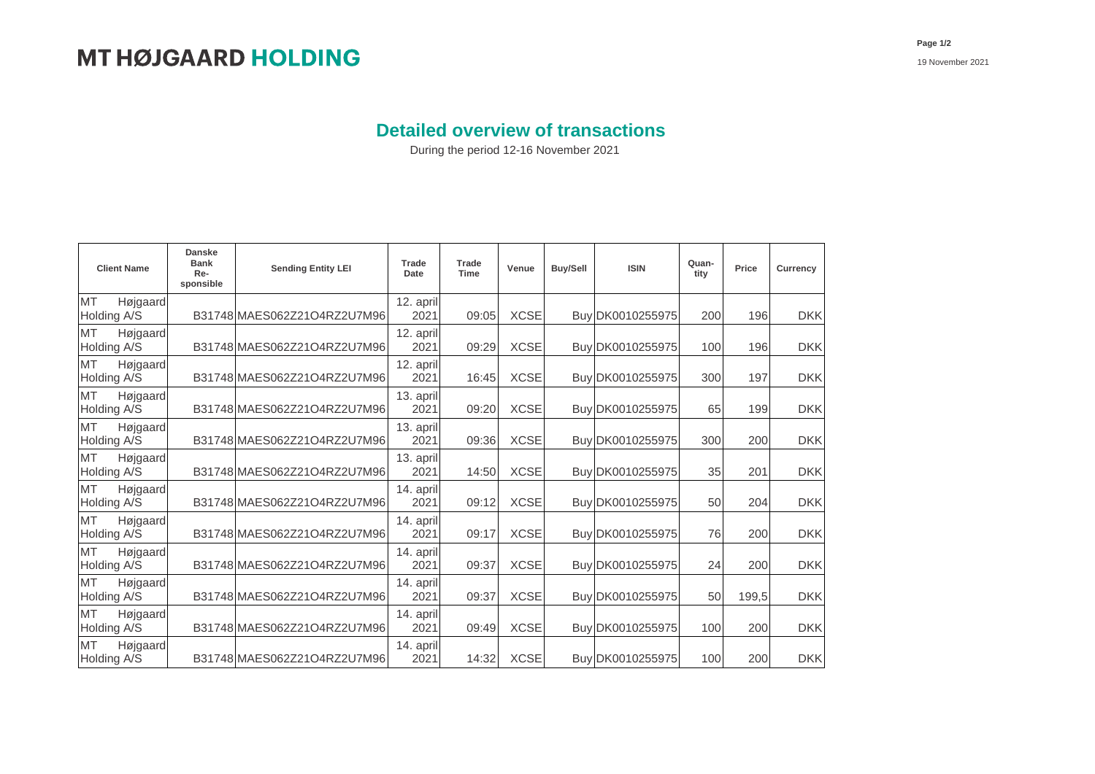## **Detailed overview of transactions**

During the period 12-16 November 2021

| <b>Client Name</b>                   | <b>Danske</b><br><b>Bank</b><br>Re-<br>sponsible | <b>Sending Entity LEI</b>   | Trade<br>Date     | <b>Trade</b><br>Time | Venue       | Buy/Sell | <b>ISIN</b>      | Quan-<br>tity | Price | Currency   |
|--------------------------------------|--------------------------------------------------|-----------------------------|-------------------|----------------------|-------------|----------|------------------|---------------|-------|------------|
| <b>MT</b><br>Højgaard<br>Holding A/S |                                                  | B31748 MAES062Z21O4RZ2U7M96 | 12. april<br>2021 | 09:05                | <b>XCSE</b> |          | Buy DK0010255975 | 200           | 196   | <b>DKK</b> |
| MT<br>Højgaard<br>Holding A/S        |                                                  | B31748 MAES062Z21O4RZ2U7M96 | 12. april<br>2021 | 09:29                | <b>XCSE</b> |          | Buy DK0010255975 | 100           | 196   | <b>DKK</b> |
| MT<br>Højgaard<br>Holding A/S        |                                                  | B31748 MAES062Z21O4RZ2U7M96 | 12. april<br>2021 | 16:45                | <b>XCSE</b> |          | Buy DK0010255975 | 300           | 197   | <b>DKK</b> |
| MT<br>Højgaard<br>Holding A/S        |                                                  | B31748 MAES062Z21O4RZ2U7M96 | 13. april<br>2021 | 09:20                | <b>XCSE</b> |          | Buy DK0010255975 | 65            | 199   | <b>DKK</b> |
| <b>MT</b><br>Højgaard<br>Holding A/S |                                                  | B31748 MAES062Z21O4RZ2U7M96 | 13. april<br>2021 | 09:36                | <b>XCSE</b> |          | Buy DK0010255975 | 300           | 200   | <b>DKK</b> |
| MT<br>Højgaard<br>Holding A/S        |                                                  | B31748 MAES062Z21O4RZ2U7M96 | 13. april<br>2021 | 14:50                | <b>XCSE</b> |          | Buy DK0010255975 | 35            | 201   | <b>DKK</b> |
| MT<br>Højgaard<br>Holding A/S        |                                                  | B31748 MAES062Z21O4RZ2U7M96 | 14. april<br>2021 | 09:12                | <b>XCSE</b> |          | Buy DK0010255975 | 50            | 204   | <b>DKK</b> |
| MT<br>Højgaard<br>Holding A/S        |                                                  | B31748 MAES062Z21O4RZ2U7M96 | 14. april<br>2021 | 09:17                | <b>XCSE</b> |          | Buy DK0010255975 | 76            | 200   | <b>DKK</b> |
| <b>MT</b><br>Højgaard<br>Holding A/S |                                                  | B31748 MAES062Z21O4RZ2U7M96 | 14. april<br>2021 | 09:37                | <b>XCSE</b> |          | Buy DK0010255975 | 24            | 200   | <b>DKK</b> |
| <b>MT</b><br>Højgaard<br>Holding A/S |                                                  | B31748 MAES062Z21O4RZ2U7M96 | 14. april<br>2021 | 09:37                | <b>XCSE</b> |          | Buy DK0010255975 | 50            | 199,5 | <b>DKK</b> |
| MT<br>Højgaard<br>Holding A/S        |                                                  | B31748 MAES062Z21O4RZ2U7M96 | 14. april<br>2021 | 09:49                | <b>XCSE</b> |          | Buy DK0010255975 | 100           | 200   | <b>DKK</b> |
| <b>MT</b><br>Højgaard<br>Holding A/S |                                                  | B31748 MAES062Z21O4RZ2U7M96 | 14. april<br>2021 | 14:32                | <b>XCSE</b> |          | Buy DK0010255975 | 100           | 200   | <b>DKK</b> |